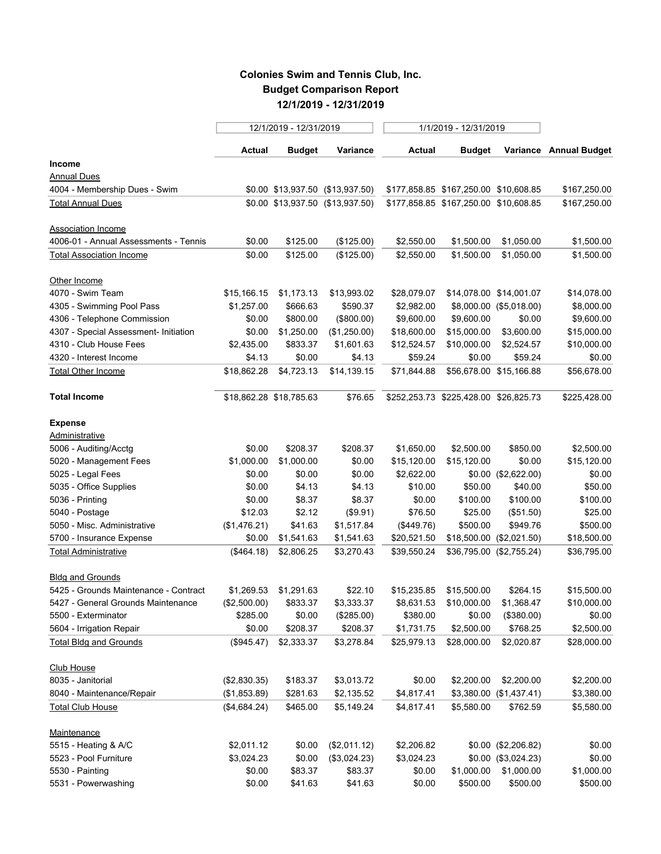## **Colonies Swim and Tennis Club, Inc. Budget Comparison Report 12/1/2019 - 12/31/2019**

|                                       |              | 12/1/2019 - 12/31/2019  |                                  | 1/1/2019 - 12/31/2019 |                                       |                          |                        |
|---------------------------------------|--------------|-------------------------|----------------------------------|-----------------------|---------------------------------------|--------------------------|------------------------|
|                                       | Actual       | <b>Budget</b>           | Variance                         | <b>Actual</b>         | <b>Budget</b>                         |                          | Variance Annual Budget |
| Income                                |              |                         |                                  |                       |                                       |                          |                        |
| <b>Annual Dues</b>                    |              |                         |                                  |                       |                                       |                          |                        |
| 4004 - Membership Dues - Swim         |              |                         | \$0.00 \$13,937.50 (\$13,937.50) |                       | \$177,858.85 \$167,250.00 \$10,608.85 |                          | \$167,250.00           |
| <b>Total Annual Dues</b>              |              |                         | \$0.00 \$13,937.50 (\$13,937.50) |                       | \$177,858.85 \$167,250.00 \$10,608.85 |                          | \$167,250.00           |
| <b>Association Income</b>             |              |                         |                                  |                       |                                       |                          |                        |
| 4006-01 - Annual Assessments - Tennis | \$0.00       | \$125.00                | (\$125.00)                       | \$2,550.00            | \$1,500.00                            | \$1,050.00               | \$1,500.00             |
| <b>Total Association Income</b>       | \$0.00       | \$125.00                | (\$125.00)                       | \$2,550.00            | \$1,500.00                            | \$1,050.00               | \$1,500.00             |
| Other Income                          |              |                         |                                  |                       |                                       |                          |                        |
| 4070 - Swim Team                      | \$15,166.15  | \$1,173.13              | \$13,993.02                      | \$28,079.07           |                                       | \$14,078.00 \$14,001.07  | \$14,078.00            |
| 4305 - Swimming Pool Pass             | \$1,257.00   | \$666.63                | \$590.37                         | \$2,982.00            |                                       | \$8,000.00 (\$5,018.00)  | \$8,000.00             |
| 4306 - Telephone Commission           | \$0.00       | \$800.00                | (\$800.00)                       | \$9,600.00            | \$9,600.00                            | \$0.00                   | \$9,600.00             |
| 4307 - Special Assessment- Initiation | \$0.00       | \$1,250.00              | (\$1,250.00)                     | \$18,600.00           | \$15,000.00                           | \$3,600.00               | \$15,000.00            |
| 4310 - Club House Fees                | \$2,435.00   | \$833.37                | \$1,601.63                       | \$12,524.57           | \$10,000.00                           | \$2,524.57               | \$10,000.00            |
| 4320 - Interest Income                | \$4.13       | \$0.00                  | \$4.13                           | \$59.24               | \$0.00                                | \$59.24                  | \$0.00                 |
| <b>Total Other Income</b>             | \$18,862.28  | \$4,723.13              | \$14,139.15                      | \$71,844.88           |                                       | \$56,678.00 \$15,166.88  | \$56,678.00            |
| <b>Total Income</b>                   |              | \$18,862.28 \$18,785.63 | \$76.65                          |                       | \$252,253.73 \$225,428.00 \$26,825.73 |                          | \$225,428.00           |
| <b>Expense</b>                        |              |                         |                                  |                       |                                       |                          |                        |
| Administrative                        |              |                         |                                  |                       |                                       |                          |                        |
| 5006 - Auditing/Acctg                 | \$0.00       | \$208.37                | \$208.37                         | \$1,650.00            | \$2,500.00                            | \$850.00                 | \$2,500.00             |
| 5020 - Management Fees                | \$1,000.00   | \$1,000.00              | \$0.00                           | \$15,120.00           | \$15,120.00                           | \$0.00                   | \$15,120.00            |
| 5025 - Legal Fees                     | \$0.00       | \$0.00                  | \$0.00                           | \$2,622.00            |                                       | \$0.00 (\$2,622.00)      | \$0.00                 |
| 5035 - Office Supplies                | \$0.00       | \$4.13                  | \$4.13                           | \$10.00               | \$50.00                               | \$40.00                  | \$50.00                |
| 5036 - Printing                       | \$0.00       | \$8.37                  | \$8.37                           | \$0.00                | \$100.00                              | \$100.00                 | \$100.00               |
| 5040 - Postage                        | \$12.03      | \$2.12                  | (\$9.91)                         | \$76.50               | \$25.00                               | (\$51.50)                | \$25.00                |
| 5050 - Misc. Administrative           | (\$1,476.21) | \$41.63                 | \$1,517.84                       | (\$449.76)            | \$500.00                              | \$949.76                 | \$500.00               |
| 5700 - Insurance Expense              | \$0.00       | \$1,541.63              | \$1,541.63                       | \$20,521.50           |                                       | \$18,500.00 (\$2,021.50) | \$18,500.00            |
| <b>Total Administrative</b>           | (\$464.18)   | \$2,806.25              | \$3,270.43                       | \$39,550.24           |                                       | \$36,795.00 (\$2,755.24) | \$36,795.00            |
| <b>Bldg and Grounds</b>               |              |                         |                                  |                       |                                       |                          |                        |
| 5425 - Grounds Maintenance - Contract | \$1,269.53   | \$1,291.63              | \$22.10                          | \$15,235.85           | \$15,500.00                           | \$264.15                 | \$15,500.00            |
| 5427 - General Grounds Maintenance    | (\$2,500.00) | \$833.37                | \$3,333.37                       |                       | \$8,631.53 \$10,000.00                | \$1,368.47               | \$10,000.00            |
| 5500 - Exterminator                   | \$285.00     | \$0.00                  | (\$285.00)                       | \$380.00              | \$0.00                                | (\$380.00)               | \$0.00                 |
| 5604 - Irrigation Repair              | \$0.00       | \$208.37                | \$208.37                         | \$1,731.75            | \$2,500.00                            | \$768.25                 | \$2,500.00             |
| <b>Total Bldg and Grounds</b>         | $(\$945.47)$ | \$2,333.37              | \$3,278.84                       | \$25,979.13           | \$28,000.00                           | \$2,020.87               | \$28,000.00            |
| <b>Club House</b>                     |              |                         |                                  |                       |                                       |                          |                        |
| 8035 - Janitorial                     | (\$2,830.35) | \$183.37                | \$3,013.72                       | \$0.00                | \$2,200.00                            | \$2,200.00               | \$2,200.00             |
| 8040 - Maintenance/Repair             | (\$1,853.89) | \$281.63                | \$2,135.52                       | \$4,817.41            |                                       | \$3,380.00 (\$1,437.41)  | \$3,380.00             |
| <b>Total Club House</b>               | (\$4,684.24) | \$465.00                | \$5,149.24                       | \$4,817.41            | \$5,580.00                            | \$762.59                 | \$5,580.00             |
| Maintenance                           |              |                         |                                  |                       |                                       |                          |                        |
| 5515 - Heating & A/C                  | \$2,011.12   | \$0.00                  | (\$2,011.12)                     | \$2,206.82            |                                       | \$0.00 (\$2,206.82)      | \$0.00                 |
| 5523 - Pool Furniture                 | \$3,024.23   | \$0.00                  | (\$3,024.23)                     | \$3,024.23            |                                       | \$0.00 (\$3,024.23)      | \$0.00                 |
| 5530 - Painting                       | \$0.00       | \$83.37                 | \$83.37                          | \$0.00                | \$1,000.00                            | \$1,000.00               | \$1,000.00             |
| 5531 - Powerwashing                   | \$0.00       | \$41.63                 | \$41.63                          | \$0.00                | \$500.00                              | \$500.00                 | \$500.00               |
|                                       |              |                         |                                  |                       |                                       |                          |                        |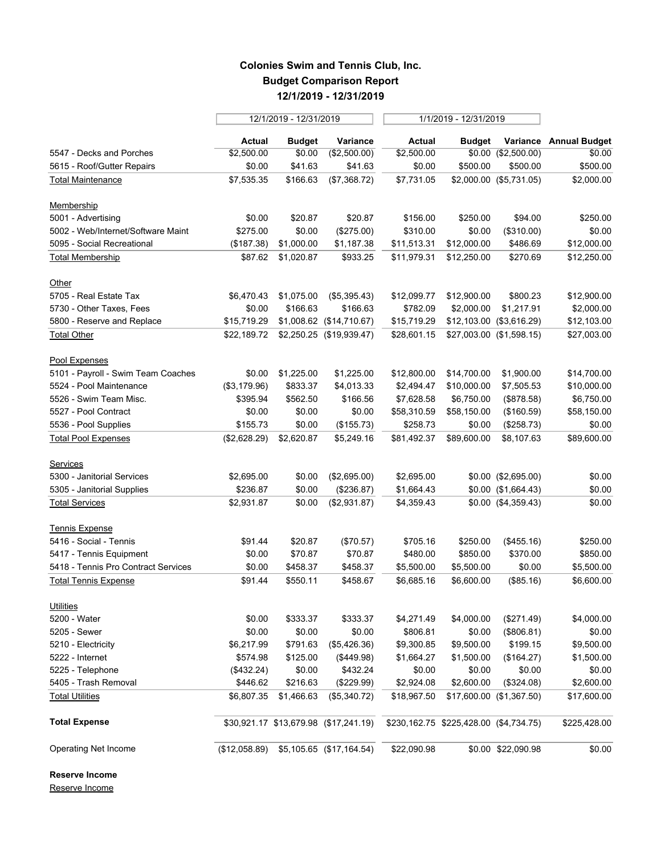## **Colonies Swim and Tennis Club, Inc. Budget Comparison Report 12/1/2019 - 12/31/2019**

| <b>Budget</b><br>Variance<br>Variance Annual Budget<br>Actual<br>Actual<br>Budget<br>(\$2,500.00)<br>\$0.00 (\$2,500.00)<br>\$0.00<br>\$2,500.00<br>\$0.00<br>\$2,500.00<br>\$0.00<br>\$41.63<br>\$41.63<br>\$500.00<br>\$500.00<br>\$500.00<br>\$0.00<br>\$2,000.00 (\$5,731.05)<br>\$7,535.35<br>\$166.63<br>(\$7,368.72)<br>\$7,731.05<br>\$2,000.00<br>\$20.87<br>\$250.00<br>\$0.00<br>\$20.87<br>\$156.00<br>\$250.00<br>\$94.00<br>\$275.00<br>(\$275.00)<br>\$310.00<br>(\$310.00)<br>\$0.00<br>\$0.00<br>\$0.00<br>\$1,187.38<br>\$486.69<br>\$12,000.00<br>(\$187.38)<br>\$1,000.00<br>\$11,513.31<br>\$12,000.00<br>\$87.62<br>\$1,020.87<br>\$933.25<br>\$11,979.31<br>\$12,250.00<br>\$270.69<br>\$6,470.43<br>\$1,075.00<br>(\$5,395.43)<br>\$12,099.77<br>\$12,900.00<br>\$800.23<br>\$0.00<br>\$166.63<br>\$782.09<br>\$166.63<br>\$2,000.00<br>\$1,217.91<br>\$15,719.29<br>\$1,008.62 (\$14,710.67)<br>\$15,719.29<br>\$12,103.00 (\$3,616.29)<br>\$22,189.72 \$2,250.25 (\$19,939.47)<br>\$27,003.00 (\$1,598.15)<br>\$28,601.15<br>\$0.00<br>\$1,225.00<br>\$1,225.00<br>\$12,800.00<br>\$14,700.00<br>\$1,900.00<br>\$833.37<br>\$7,505.53<br>(\$3,179.96)<br>\$4,013.33<br>\$2,494.47<br>\$10,000.00<br>\$562.50<br>(\$878.58)<br>\$395.94<br>\$166.56<br>\$7,628.58<br>\$6,750.00<br>\$0.00<br>\$0.00<br>\$0.00<br>\$58,310.59<br>\$58,150.00<br>(\$160.59)<br>\$258.73<br>(\$258.73)<br>\$155.73<br>\$0.00<br>(\$155.73)<br>\$0.00<br>(\$2,628.29)<br>\$2,620.87<br>\$5,249.16<br>\$81,492.37<br>\$89,600.00<br>\$8,107.63<br>\$0.00 (\$2,695.00)<br>\$2,695.00<br>\$0.00<br>(\$2,695.00)<br>\$2,695.00<br>\$236.87<br>\$0.00<br>(\$236.87)<br>\$1,664.43<br>$$0.00$ $($1,664.43)$<br>\$2,931.87<br>\$0.00<br>(\$2,931.87)<br>\$4,359.43<br>$$0.00$ $($4,359.43)$<br>\$20.87<br>(\$455.16)<br>\$91.44<br>(\$70.57)<br>\$705.16<br>\$250.00<br>\$0.00<br>\$70.87<br>\$480.00<br>\$370.00<br>\$70.87<br>\$850.00<br>\$0.00<br>\$458.37<br>\$458.37<br>\$0.00<br>\$5,500.00<br>\$5,500.00<br>\$550.11<br>\$91.44<br>\$458.67<br>\$6,685.16<br>(\$85.16)<br>\$6,600.00<br>\$0.00<br>\$333.37<br>\$333.37<br>\$4,271.49<br>\$4,000.00<br>(\$271.49)<br>\$0.00<br>\$0.00<br>\$0.00<br>\$806.81<br>\$0.00<br>(\$806.81)<br>\$791.63<br>\$9,500.00<br>\$199.15<br>\$6,217.99<br>(\$5,426.36)<br>\$9,300.85<br>\$574.98<br>\$125.00<br>(\$449.98)<br>\$1,664.27<br>(\$164.27)<br>\$1,500.00<br>(\$432.24)<br>\$0.00<br>\$432.24<br>\$0.00<br>\$0.00<br>\$0.00<br>\$446.62<br>\$216.63<br>(\$229.99)<br>\$2,924.08<br>\$2,600.00<br>(\$324.08)<br>\$6,807.35<br>\$1,466.63<br>(\$5,340.72)<br>\$18,967.50<br>\$17,600.00 (\$1,367.50)<br>\$30,921.17 \$13,679.98 (\$17,241.19)<br>\$230,162.75 \$225,428.00 (\$4,734.75)<br>(\$12,058.89)<br>\$5,105.65 (\$17,164.54)<br>\$22,090.98<br>\$0.00 \$22,090.98 |                                     | 12/1/2019 - 12/31/2019 |  | 1/1/2019 - 12/31/2019 |  |  |  |
|--------------------------------------------------------------------------------------------------------------------------------------------------------------------------------------------------------------------------------------------------------------------------------------------------------------------------------------------------------------------------------------------------------------------------------------------------------------------------------------------------------------------------------------------------------------------------------------------------------------------------------------------------------------------------------------------------------------------------------------------------------------------------------------------------------------------------------------------------------------------------------------------------------------------------------------------------------------------------------------------------------------------------------------------------------------------------------------------------------------------------------------------------------------------------------------------------------------------------------------------------------------------------------------------------------------------------------------------------------------------------------------------------------------------------------------------------------------------------------------------------------------------------------------------------------------------------------------------------------------------------------------------------------------------------------------------------------------------------------------------------------------------------------------------------------------------------------------------------------------------------------------------------------------------------------------------------------------------------------------------------------------------------------------------------------------------------------------------------------------------------------------------------------------------------------------------------------------------------------------------------------------------------------------------------------------------------------------------------------------------------------------------------------------------------------------------------------------------------------------------------------------------------------------------------------------------------------------------------------------------------------------------------------------------------------------------------------------------------------------------------------------------------------------------------------------------------|-------------------------------------|------------------------|--|-----------------------|--|--|--|
|                                                                                                                                                                                                                                                                                                                                                                                                                                                                                                                                                                                                                                                                                                                                                                                                                                                                                                                                                                                                                                                                                                                                                                                                                                                                                                                                                                                                                                                                                                                                                                                                                                                                                                                                                                                                                                                                                                                                                                                                                                                                                                                                                                                                                                                                                                                                                                                                                                                                                                                                                                                                                                                                                                                                                                                                                          |                                     |                        |  |                       |  |  |  |
|                                                                                                                                                                                                                                                                                                                                                                                                                                                                                                                                                                                                                                                                                                                                                                                                                                                                                                                                                                                                                                                                                                                                                                                                                                                                                                                                                                                                                                                                                                                                                                                                                                                                                                                                                                                                                                                                                                                                                                                                                                                                                                                                                                                                                                                                                                                                                                                                                                                                                                                                                                                                                                                                                                                                                                                                                          | 5547 - Decks and Porches            |                        |  |                       |  |  |  |
|                                                                                                                                                                                                                                                                                                                                                                                                                                                                                                                                                                                                                                                                                                                                                                                                                                                                                                                                                                                                                                                                                                                                                                                                                                                                                                                                                                                                                                                                                                                                                                                                                                                                                                                                                                                                                                                                                                                                                                                                                                                                                                                                                                                                                                                                                                                                                                                                                                                                                                                                                                                                                                                                                                                                                                                                                          | 5615 - Roof/Gutter Repairs          |                        |  |                       |  |  |  |
|                                                                                                                                                                                                                                                                                                                                                                                                                                                                                                                                                                                                                                                                                                                                                                                                                                                                                                                                                                                                                                                                                                                                                                                                                                                                                                                                                                                                                                                                                                                                                                                                                                                                                                                                                                                                                                                                                                                                                                                                                                                                                                                                                                                                                                                                                                                                                                                                                                                                                                                                                                                                                                                                                                                                                                                                                          | <b>Total Maintenance</b>            |                        |  |                       |  |  |  |
|                                                                                                                                                                                                                                                                                                                                                                                                                                                                                                                                                                                                                                                                                                                                                                                                                                                                                                                                                                                                                                                                                                                                                                                                                                                                                                                                                                                                                                                                                                                                                                                                                                                                                                                                                                                                                                                                                                                                                                                                                                                                                                                                                                                                                                                                                                                                                                                                                                                                                                                                                                                                                                                                                                                                                                                                                          | Membership                          |                        |  |                       |  |  |  |
|                                                                                                                                                                                                                                                                                                                                                                                                                                                                                                                                                                                                                                                                                                                                                                                                                                                                                                                                                                                                                                                                                                                                                                                                                                                                                                                                                                                                                                                                                                                                                                                                                                                                                                                                                                                                                                                                                                                                                                                                                                                                                                                                                                                                                                                                                                                                                                                                                                                                                                                                                                                                                                                                                                                                                                                                                          | 5001 - Advertising                  |                        |  |                       |  |  |  |
|                                                                                                                                                                                                                                                                                                                                                                                                                                                                                                                                                                                                                                                                                                                                                                                                                                                                                                                                                                                                                                                                                                                                                                                                                                                                                                                                                                                                                                                                                                                                                                                                                                                                                                                                                                                                                                                                                                                                                                                                                                                                                                                                                                                                                                                                                                                                                                                                                                                                                                                                                                                                                                                                                                                                                                                                                          | 5002 - Web/Internet/Software Maint  |                        |  |                       |  |  |  |
| \$12,250.00<br>\$12,900.00<br>\$2,000.00<br>\$12,103.00<br>\$27,003.00<br>\$14,700.00<br>\$10,000.00<br>\$6,750.00<br>\$58,150.00<br>\$0.00<br>\$89,600.00<br>\$0.00<br>\$0.00<br>\$0.00<br>\$250.00<br>\$850.00<br>\$5,500.00<br>\$6,600.00<br>\$4,000.00<br>\$0.00<br>\$9,500.00<br>\$1,500.00<br>\$0.00<br>\$2,600.00<br>\$17,600.00<br>\$225,428.00                                                                                                                                                                                                                                                                                                                                                                                                                                                                                                                                                                                                                                                                                                                                                                                                                                                                                                                                                                                                                                                                                                                                                                                                                                                                                                                                                                                                                                                                                                                                                                                                                                                                                                                                                                                                                                                                                                                                                                                                                                                                                                                                                                                                                                                                                                                                                                                                                                                                  | 5095 - Social Recreational          |                        |  |                       |  |  |  |
|                                                                                                                                                                                                                                                                                                                                                                                                                                                                                                                                                                                                                                                                                                                                                                                                                                                                                                                                                                                                                                                                                                                                                                                                                                                                                                                                                                                                                                                                                                                                                                                                                                                                                                                                                                                                                                                                                                                                                                                                                                                                                                                                                                                                                                                                                                                                                                                                                                                                                                                                                                                                                                                                                                                                                                                                                          | <b>Total Membership</b>             |                        |  |                       |  |  |  |
|                                                                                                                                                                                                                                                                                                                                                                                                                                                                                                                                                                                                                                                                                                                                                                                                                                                                                                                                                                                                                                                                                                                                                                                                                                                                                                                                                                                                                                                                                                                                                                                                                                                                                                                                                                                                                                                                                                                                                                                                                                                                                                                                                                                                                                                                                                                                                                                                                                                                                                                                                                                                                                                                                                                                                                                                                          | Other                               |                        |  |                       |  |  |  |
|                                                                                                                                                                                                                                                                                                                                                                                                                                                                                                                                                                                                                                                                                                                                                                                                                                                                                                                                                                                                                                                                                                                                                                                                                                                                                                                                                                                                                                                                                                                                                                                                                                                                                                                                                                                                                                                                                                                                                                                                                                                                                                                                                                                                                                                                                                                                                                                                                                                                                                                                                                                                                                                                                                                                                                                                                          | 5705 - Real Estate Tax              |                        |  |                       |  |  |  |
|                                                                                                                                                                                                                                                                                                                                                                                                                                                                                                                                                                                                                                                                                                                                                                                                                                                                                                                                                                                                                                                                                                                                                                                                                                                                                                                                                                                                                                                                                                                                                                                                                                                                                                                                                                                                                                                                                                                                                                                                                                                                                                                                                                                                                                                                                                                                                                                                                                                                                                                                                                                                                                                                                                                                                                                                                          | 5730 - Other Taxes, Fees            |                        |  |                       |  |  |  |
|                                                                                                                                                                                                                                                                                                                                                                                                                                                                                                                                                                                                                                                                                                                                                                                                                                                                                                                                                                                                                                                                                                                                                                                                                                                                                                                                                                                                                                                                                                                                                                                                                                                                                                                                                                                                                                                                                                                                                                                                                                                                                                                                                                                                                                                                                                                                                                                                                                                                                                                                                                                                                                                                                                                                                                                                                          | 5800 - Reserve and Replace          |                        |  |                       |  |  |  |
|                                                                                                                                                                                                                                                                                                                                                                                                                                                                                                                                                                                                                                                                                                                                                                                                                                                                                                                                                                                                                                                                                                                                                                                                                                                                                                                                                                                                                                                                                                                                                                                                                                                                                                                                                                                                                                                                                                                                                                                                                                                                                                                                                                                                                                                                                                                                                                                                                                                                                                                                                                                                                                                                                                                                                                                                                          | <b>Total Other</b>                  |                        |  |                       |  |  |  |
|                                                                                                                                                                                                                                                                                                                                                                                                                                                                                                                                                                                                                                                                                                                                                                                                                                                                                                                                                                                                                                                                                                                                                                                                                                                                                                                                                                                                                                                                                                                                                                                                                                                                                                                                                                                                                                                                                                                                                                                                                                                                                                                                                                                                                                                                                                                                                                                                                                                                                                                                                                                                                                                                                                                                                                                                                          | Pool Expenses                       |                        |  |                       |  |  |  |
|                                                                                                                                                                                                                                                                                                                                                                                                                                                                                                                                                                                                                                                                                                                                                                                                                                                                                                                                                                                                                                                                                                                                                                                                                                                                                                                                                                                                                                                                                                                                                                                                                                                                                                                                                                                                                                                                                                                                                                                                                                                                                                                                                                                                                                                                                                                                                                                                                                                                                                                                                                                                                                                                                                                                                                                                                          | 5101 - Payroll - Swim Team Coaches  |                        |  |                       |  |  |  |
|                                                                                                                                                                                                                                                                                                                                                                                                                                                                                                                                                                                                                                                                                                                                                                                                                                                                                                                                                                                                                                                                                                                                                                                                                                                                                                                                                                                                                                                                                                                                                                                                                                                                                                                                                                                                                                                                                                                                                                                                                                                                                                                                                                                                                                                                                                                                                                                                                                                                                                                                                                                                                                                                                                                                                                                                                          | 5524 - Pool Maintenance             |                        |  |                       |  |  |  |
|                                                                                                                                                                                                                                                                                                                                                                                                                                                                                                                                                                                                                                                                                                                                                                                                                                                                                                                                                                                                                                                                                                                                                                                                                                                                                                                                                                                                                                                                                                                                                                                                                                                                                                                                                                                                                                                                                                                                                                                                                                                                                                                                                                                                                                                                                                                                                                                                                                                                                                                                                                                                                                                                                                                                                                                                                          | 5526 - Swim Team Misc.              |                        |  |                       |  |  |  |
|                                                                                                                                                                                                                                                                                                                                                                                                                                                                                                                                                                                                                                                                                                                                                                                                                                                                                                                                                                                                                                                                                                                                                                                                                                                                                                                                                                                                                                                                                                                                                                                                                                                                                                                                                                                                                                                                                                                                                                                                                                                                                                                                                                                                                                                                                                                                                                                                                                                                                                                                                                                                                                                                                                                                                                                                                          | 5527 - Pool Contract                |                        |  |                       |  |  |  |
|                                                                                                                                                                                                                                                                                                                                                                                                                                                                                                                                                                                                                                                                                                                                                                                                                                                                                                                                                                                                                                                                                                                                                                                                                                                                                                                                                                                                                                                                                                                                                                                                                                                                                                                                                                                                                                                                                                                                                                                                                                                                                                                                                                                                                                                                                                                                                                                                                                                                                                                                                                                                                                                                                                                                                                                                                          | 5536 - Pool Supplies                |                        |  |                       |  |  |  |
|                                                                                                                                                                                                                                                                                                                                                                                                                                                                                                                                                                                                                                                                                                                                                                                                                                                                                                                                                                                                                                                                                                                                                                                                                                                                                                                                                                                                                                                                                                                                                                                                                                                                                                                                                                                                                                                                                                                                                                                                                                                                                                                                                                                                                                                                                                                                                                                                                                                                                                                                                                                                                                                                                                                                                                                                                          | <b>Total Pool Expenses</b>          |                        |  |                       |  |  |  |
|                                                                                                                                                                                                                                                                                                                                                                                                                                                                                                                                                                                                                                                                                                                                                                                                                                                                                                                                                                                                                                                                                                                                                                                                                                                                                                                                                                                                                                                                                                                                                                                                                                                                                                                                                                                                                                                                                                                                                                                                                                                                                                                                                                                                                                                                                                                                                                                                                                                                                                                                                                                                                                                                                                                                                                                                                          | <b>Services</b>                     |                        |  |                       |  |  |  |
|                                                                                                                                                                                                                                                                                                                                                                                                                                                                                                                                                                                                                                                                                                                                                                                                                                                                                                                                                                                                                                                                                                                                                                                                                                                                                                                                                                                                                                                                                                                                                                                                                                                                                                                                                                                                                                                                                                                                                                                                                                                                                                                                                                                                                                                                                                                                                                                                                                                                                                                                                                                                                                                                                                                                                                                                                          | 5300 - Janitorial Services          |                        |  |                       |  |  |  |
|                                                                                                                                                                                                                                                                                                                                                                                                                                                                                                                                                                                                                                                                                                                                                                                                                                                                                                                                                                                                                                                                                                                                                                                                                                                                                                                                                                                                                                                                                                                                                                                                                                                                                                                                                                                                                                                                                                                                                                                                                                                                                                                                                                                                                                                                                                                                                                                                                                                                                                                                                                                                                                                                                                                                                                                                                          | 5305 - Janitorial Supplies          |                        |  |                       |  |  |  |
|                                                                                                                                                                                                                                                                                                                                                                                                                                                                                                                                                                                                                                                                                                                                                                                                                                                                                                                                                                                                                                                                                                                                                                                                                                                                                                                                                                                                                                                                                                                                                                                                                                                                                                                                                                                                                                                                                                                                                                                                                                                                                                                                                                                                                                                                                                                                                                                                                                                                                                                                                                                                                                                                                                                                                                                                                          | <b>Total Services</b>               |                        |  |                       |  |  |  |
|                                                                                                                                                                                                                                                                                                                                                                                                                                                                                                                                                                                                                                                                                                                                                                                                                                                                                                                                                                                                                                                                                                                                                                                                                                                                                                                                                                                                                                                                                                                                                                                                                                                                                                                                                                                                                                                                                                                                                                                                                                                                                                                                                                                                                                                                                                                                                                                                                                                                                                                                                                                                                                                                                                                                                                                                                          | <b>Tennis Expense</b>               |                        |  |                       |  |  |  |
|                                                                                                                                                                                                                                                                                                                                                                                                                                                                                                                                                                                                                                                                                                                                                                                                                                                                                                                                                                                                                                                                                                                                                                                                                                                                                                                                                                                                                                                                                                                                                                                                                                                                                                                                                                                                                                                                                                                                                                                                                                                                                                                                                                                                                                                                                                                                                                                                                                                                                                                                                                                                                                                                                                                                                                                                                          | 5416 - Social - Tennis              |                        |  |                       |  |  |  |
|                                                                                                                                                                                                                                                                                                                                                                                                                                                                                                                                                                                                                                                                                                                                                                                                                                                                                                                                                                                                                                                                                                                                                                                                                                                                                                                                                                                                                                                                                                                                                                                                                                                                                                                                                                                                                                                                                                                                                                                                                                                                                                                                                                                                                                                                                                                                                                                                                                                                                                                                                                                                                                                                                                                                                                                                                          | 5417 - Tennis Equipment             |                        |  |                       |  |  |  |
|                                                                                                                                                                                                                                                                                                                                                                                                                                                                                                                                                                                                                                                                                                                                                                                                                                                                                                                                                                                                                                                                                                                                                                                                                                                                                                                                                                                                                                                                                                                                                                                                                                                                                                                                                                                                                                                                                                                                                                                                                                                                                                                                                                                                                                                                                                                                                                                                                                                                                                                                                                                                                                                                                                                                                                                                                          | 5418 - Tennis Pro Contract Services |                        |  |                       |  |  |  |
|                                                                                                                                                                                                                                                                                                                                                                                                                                                                                                                                                                                                                                                                                                                                                                                                                                                                                                                                                                                                                                                                                                                                                                                                                                                                                                                                                                                                                                                                                                                                                                                                                                                                                                                                                                                                                                                                                                                                                                                                                                                                                                                                                                                                                                                                                                                                                                                                                                                                                                                                                                                                                                                                                                                                                                                                                          | <b>Total Tennis Expense</b>         |                        |  |                       |  |  |  |
|                                                                                                                                                                                                                                                                                                                                                                                                                                                                                                                                                                                                                                                                                                                                                                                                                                                                                                                                                                                                                                                                                                                                                                                                                                                                                                                                                                                                                                                                                                                                                                                                                                                                                                                                                                                                                                                                                                                                                                                                                                                                                                                                                                                                                                                                                                                                                                                                                                                                                                                                                                                                                                                                                                                                                                                                                          | Utilities                           |                        |  |                       |  |  |  |
|                                                                                                                                                                                                                                                                                                                                                                                                                                                                                                                                                                                                                                                                                                                                                                                                                                                                                                                                                                                                                                                                                                                                                                                                                                                                                                                                                                                                                                                                                                                                                                                                                                                                                                                                                                                                                                                                                                                                                                                                                                                                                                                                                                                                                                                                                                                                                                                                                                                                                                                                                                                                                                                                                                                                                                                                                          | 5200 - Water                        |                        |  |                       |  |  |  |
|                                                                                                                                                                                                                                                                                                                                                                                                                                                                                                                                                                                                                                                                                                                                                                                                                                                                                                                                                                                                                                                                                                                                                                                                                                                                                                                                                                                                                                                                                                                                                                                                                                                                                                                                                                                                                                                                                                                                                                                                                                                                                                                                                                                                                                                                                                                                                                                                                                                                                                                                                                                                                                                                                                                                                                                                                          | 5205 - Sewer                        |                        |  |                       |  |  |  |
|                                                                                                                                                                                                                                                                                                                                                                                                                                                                                                                                                                                                                                                                                                                                                                                                                                                                                                                                                                                                                                                                                                                                                                                                                                                                                                                                                                                                                                                                                                                                                                                                                                                                                                                                                                                                                                                                                                                                                                                                                                                                                                                                                                                                                                                                                                                                                                                                                                                                                                                                                                                                                                                                                                                                                                                                                          | 5210 - Electricity                  |                        |  |                       |  |  |  |
|                                                                                                                                                                                                                                                                                                                                                                                                                                                                                                                                                                                                                                                                                                                                                                                                                                                                                                                                                                                                                                                                                                                                                                                                                                                                                                                                                                                                                                                                                                                                                                                                                                                                                                                                                                                                                                                                                                                                                                                                                                                                                                                                                                                                                                                                                                                                                                                                                                                                                                                                                                                                                                                                                                                                                                                                                          | 5222 - Internet                     |                        |  |                       |  |  |  |
|                                                                                                                                                                                                                                                                                                                                                                                                                                                                                                                                                                                                                                                                                                                                                                                                                                                                                                                                                                                                                                                                                                                                                                                                                                                                                                                                                                                                                                                                                                                                                                                                                                                                                                                                                                                                                                                                                                                                                                                                                                                                                                                                                                                                                                                                                                                                                                                                                                                                                                                                                                                                                                                                                                                                                                                                                          | 5225 - Telephone                    |                        |  |                       |  |  |  |
|                                                                                                                                                                                                                                                                                                                                                                                                                                                                                                                                                                                                                                                                                                                                                                                                                                                                                                                                                                                                                                                                                                                                                                                                                                                                                                                                                                                                                                                                                                                                                                                                                                                                                                                                                                                                                                                                                                                                                                                                                                                                                                                                                                                                                                                                                                                                                                                                                                                                                                                                                                                                                                                                                                                                                                                                                          | 5405 - Trash Removal                |                        |  |                       |  |  |  |
|                                                                                                                                                                                                                                                                                                                                                                                                                                                                                                                                                                                                                                                                                                                                                                                                                                                                                                                                                                                                                                                                                                                                                                                                                                                                                                                                                                                                                                                                                                                                                                                                                                                                                                                                                                                                                                                                                                                                                                                                                                                                                                                                                                                                                                                                                                                                                                                                                                                                                                                                                                                                                                                                                                                                                                                                                          | <b>Total Utilities</b>              |                        |  |                       |  |  |  |
| \$0.00                                                                                                                                                                                                                                                                                                                                                                                                                                                                                                                                                                                                                                                                                                                                                                                                                                                                                                                                                                                                                                                                                                                                                                                                                                                                                                                                                                                                                                                                                                                                                                                                                                                                                                                                                                                                                                                                                                                                                                                                                                                                                                                                                                                                                                                                                                                                                                                                                                                                                                                                                                                                                                                                                                                                                                                                                   | <b>Total Expense</b>                |                        |  |                       |  |  |  |
|                                                                                                                                                                                                                                                                                                                                                                                                                                                                                                                                                                                                                                                                                                                                                                                                                                                                                                                                                                                                                                                                                                                                                                                                                                                                                                                                                                                                                                                                                                                                                                                                                                                                                                                                                                                                                                                                                                                                                                                                                                                                                                                                                                                                                                                                                                                                                                                                                                                                                                                                                                                                                                                                                                                                                                                                                          | Operating Net Income                |                        |  |                       |  |  |  |

**Reserve Income**

Reserve Income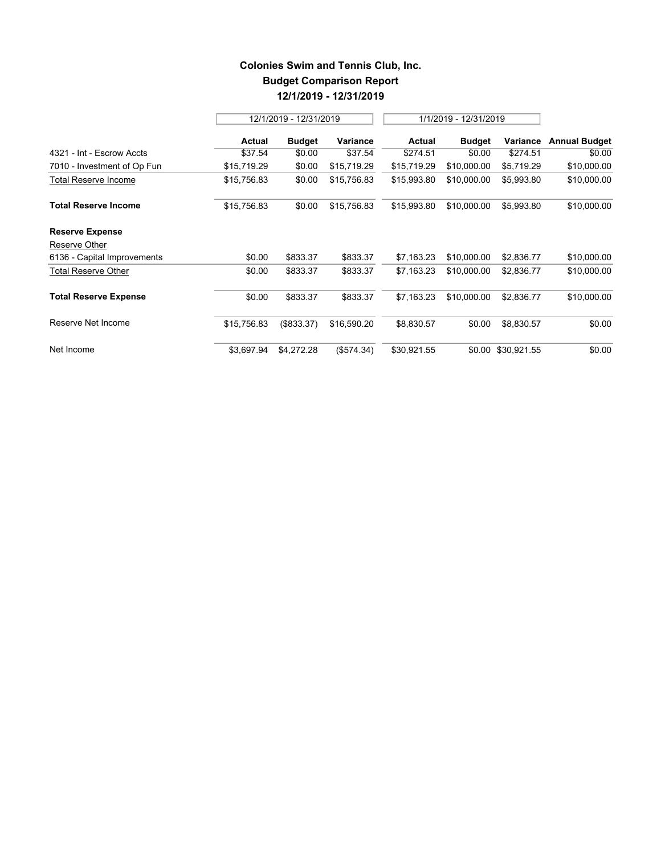## **Colonies Swim and Tennis Club, Inc. Budget Comparison Report 12/1/2019 - 12/31/2019**

|                              |             | 12/1/2019 - 12/31/2019 |             |               | 1/1/2019 - 12/31/2019 |                    |                      |
|------------------------------|-------------|------------------------|-------------|---------------|-----------------------|--------------------|----------------------|
|                              | Actual      | <b>Budget</b>          | Variance    | <b>Actual</b> | <b>Budget</b>         | Variance           | <b>Annual Budget</b> |
| 4321 - Int - Escrow Accts    | \$37.54     | \$0.00                 | \$37.54     | \$274.51      | \$0.00                | \$274.51           | \$0.00               |
| 7010 - Investment of Op Fun  | \$15,719.29 | \$0.00                 | \$15,719.29 | \$15,719.29   | \$10,000.00           | \$5,719.29         | \$10,000.00          |
| <b>Total Reserve Income</b>  | \$15,756.83 | \$0.00                 | \$15,756.83 | \$15,993.80   | \$10,000.00           | \$5,993.80         | \$10,000.00          |
| <b>Total Reserve Income</b>  | \$15,756.83 | \$0.00                 | \$15,756.83 | \$15,993.80   | \$10,000.00           | \$5,993.80         | \$10,000.00          |
| <b>Reserve Expense</b>       |             |                        |             |               |                       |                    |                      |
| Reserve Other                |             |                        |             |               |                       |                    |                      |
| 6136 - Capital Improvements  | \$0.00      | \$833.37               | \$833.37    | \$7,163.23    | \$10,000.00           | \$2,836.77         | \$10,000.00          |
| <b>Total Reserve Other</b>   | \$0.00      | \$833.37               | \$833.37    | \$7,163.23    | \$10,000.00           | \$2,836.77         | \$10,000.00          |
| <b>Total Reserve Expense</b> | \$0.00      | \$833.37               | \$833.37    | \$7,163.23    | \$10,000.00           | \$2,836.77         | \$10,000.00          |
| Reserve Net Income           | \$15,756.83 | (\$833.37)             | \$16,590.20 | \$8,830.57    | \$0.00                | \$8,830.57         | \$0.00               |
| Net Income                   | \$3,697.94  | \$4,272.28             | (\$574.34)  | \$30,921.55   |                       | \$0.00 \$30,921.55 | \$0.00               |